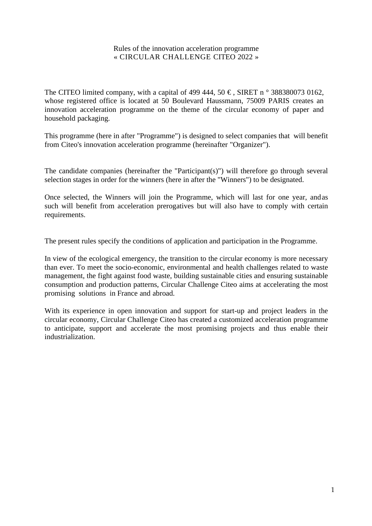#### Rules of the innovation acceleration programme « CIRCULAR CHALLENGE CITEO 2022 »

The CITEO limited company, with a capital of 499 444, 50  $\epsilon$ , SIRET n  $\circ$  388380073 0162, whose registered office is located at 50 Boulevard Haussmann, 75009 PARIS creates an innovation acceleration programme on the theme of the circular economy of paper and household packaging.

This programme (here in after "Programme") is designed to select companies that will benefit from Citeo's innovation acceleration programme (hereinafter "Organizer").

The candidate companies (hereinafter the "Participant(s)") will therefore go through several selection stages in order for the winners (here in after the "Winners") to be designated.

Once selected, the Winners will join the Programme, which will last for one year, and as such will benefit from acceleration prerogatives but will also have to comply with certain requirements.

The present rules specify the conditions of application and participation in the Programme.

In view of the ecological emergency, the transition to the circular economy is more necessary than ever. To meet the socio-economic, environmental and health challenges related to waste management, the fight against food waste, building sustainable cities and ensuring sustainable consumption and production patterns, Circular Challenge Citeo aims at accelerating the most promising solutions in France and abroad.

With its experience in open innovation and support for start-up and project leaders in the circular economy, Circular Challenge Citeo has created a customized acceleration programme to anticipate, support and accelerate the most promising projects and thus enable their industrialization.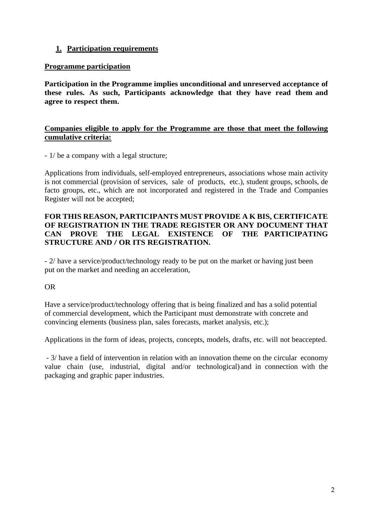### **1. Participation requirements**

#### **Programme participation**

**Participation in the Programme implies unconditional and unreserved acceptance of these rules. As such, Participants acknowledge that they have read them and agree to respect them.**

#### **Companies eligible to apply for the Programme are those that meet the following cumulative criteria:**

- 1/ be a company with a legal structure;

Applications from individuals, self-employed entrepreneurs, associations whose main activity is not commercial (provision of services, sale of products, etc.), student groups, schools, de facto groups, etc., which are not incorporated and registered in the Trade and Companies Register will not be accepted;

### **FOR THIS REASON, PARTICIPANTS MUST PROVIDE A K BIS, CERTIFICATE OF REGISTRATION IN THE TRADE REGISTER OR ANY DOCUMENT THAT CAN PROVE THE LEGAL EXISTENCE OF THE PARTICIPATING STRUCTURE AND / OR ITS REGISTRATION.**

- 2/ have a service/product/technology ready to be put on the market or having just been put on the market and needing an acceleration,

### OR

Have a service/product/technology offering that is being finalized and has a solid potential of commercial development, which the Participant must demonstrate with concrete and convincing elements (business plan, sales forecasts, market analysis, etc.);

Applications in the form of ideas, projects, concepts, models, drafts, etc. will not beaccepted.

- 3/ have a field of intervention in relation with an innovation theme on the circular economy value chain (use, industrial, digital and/or technological) and in connection with the packaging and graphic paper industries.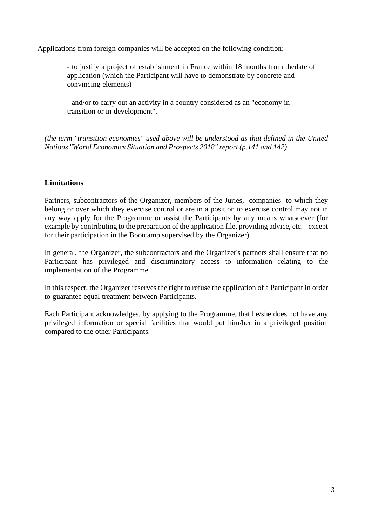Applications from foreign companies will be accepted on the following condition:

- to justify a project of establishment in France within 18 months from thedate of application (which the Participant will have to demonstrate by concrete and convincing elements)

- and/or to carry out an activity in a country considered as an "economy in transition or in development".

*(the term "transition economies" used above will be understood as that defined in the United Nations "World Economics Situation and Prospects 2018" report (p.141 and 142)*

### **Limitations**

Partners, subcontractors of the Organizer, members of the Juries, companies to which they belong or over which they exercise control or are in a position to exercise control may not in any way apply for the Programme or assist the Participants by any means whatsoever (for example by contributing to the preparation of the application file, providing advice, etc. - except for their participation in the Bootcamp supervised by the Organizer).

In general, the Organizer, the subcontractors and the Organizer's partners shall ensure that no Participant has privileged and discriminatory access to information relating to the implementation of the Programme.

In this respect, the Organizer reserves the right to refuse the application of a Participant in order to guarantee equal treatment between Participants.

Each Participant acknowledges, by applying to the Programme, that he/she does not have any privileged information or special facilities that would put him/her in a privileged position compared to the other Participants.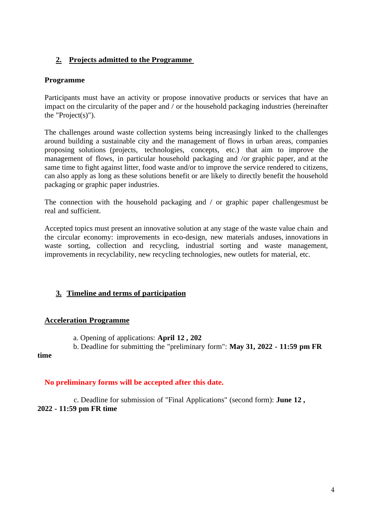# **2. Projects admitted to the Programme**

### **Programme**

Participants must have an activity or propose innovative products or services that have an impact on the circularity of the paper and / or the household packaging industries (hereinafter the "Project $(s)$ ").

The challenges around waste collection systems being increasingly linked to the challenges around building a sustainable city and the management of flows in urban areas, companies proposing solutions (projects, technologies, concepts, etc.) that aim to improve the management of flows, in particular household packaging and /or graphic paper, and at the same time to fight against litter, food waste and/or to improve the service rendered to citizens, can also apply as long as these solutions benefit or are likely to directly benefit the household packaging or graphic paper industries.

The connection with the household packaging and / or graphic paper challengesmust be real and sufficient.

Accepted topics must present an innovative solution at any stage of the waste value chain and the circular economy: improvements in eco-design, new materials anduses, innovations in waste sorting, collection and recycling, industrial sorting and waste management, improvements in recyclability, new recycling technologies, new outlets for material, etc.

## **3. Timeline and terms of participation**

### **Acceleration Programme**

a. Opening of applications: **April 12 , 202**

b. Deadline for submitting the "preliminary form": **May 31, 2022 - 11:59 pm FR** 

#### **time**

### **No preliminary forms will be accepted after this date.**

c. Deadline for submission of "Final Applications" (second form): **June 12 , 2022 - 11:59 pm FR time**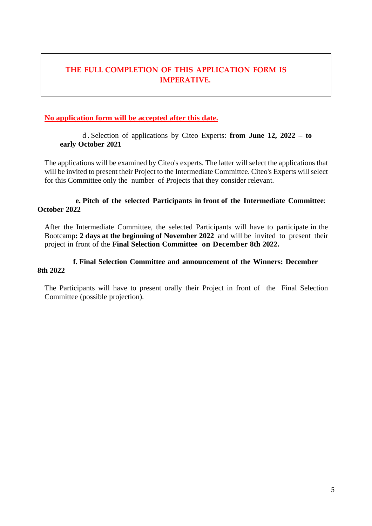# **THE FULL COMPLETION OF THIS APPLICATION FORM IS IMPERATIVE.**

#### **No application form will be accepted after this date.**

d . Selection of applications by Citeo Experts: **from June 12, 2022 – to early October 2021**

The applications will be examined by Citeo's experts. The latter will select the applications that will be invited to present their Project to the Intermediate Committee. Citeo's Experts will select for this Committee only the number of Projects that they consider relevant.

#### **e. Pitch of the selected Participants in front of the Intermediate Committee**: **October 2022**

After the Intermediate Committee, the selected Participants will have to participate in the Bootcamp**: 2 days at the beginning of November 2022** and will be invited to present their project in front of the **Final Selection Committee on December 8th 2022.**

#### **f. Final Selection Committee and announcement of the Winners: December 8th 2022**

The Participants will have to present orally their Project in front of the Final Selection Committee (possible projection).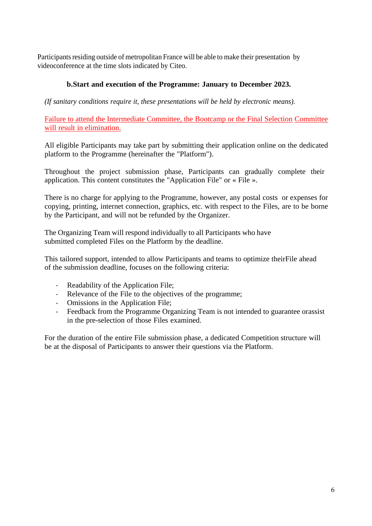Participants residing outside of metropolitan France will be able to make their presentation by videoconference at the time slots indicated by Citeo.

### **b.Start and execution of the Programme: January to December 2023.**

*(If sanitary conditions require it, these presentations will be held by electronic means).*

Failure to attend the Intermediate Committee, the Bootcamp or the Final Selection Committee will result in elimination.

All eligible Participants may take part by submitting their application online on the dedicated platform to the Programme (hereinafter the "Platform").

Throughout the project submission phase, Participants can gradually complete their application. This content constitutes the "Application File" or « File ».

There is no charge for applying to the Programme, however, any postal costs or expenses for copying, printing, internet connection, graphics, etc. with respect to the Files, are to be borne by the Participant, and will not be refunded by the Organizer.

The Organizing Team will respond individually to all Participants who have submitted completed Files on the Platform by the deadline.

This tailored support, intended to allow Participants and teams to optimize theirFile ahead of the submission deadline, focuses on the following criteria:

- Readability of the Application File;
- Relevance of the File to the objectives of the programme;
- Omissions in the Application File;
- Feedback from the Programme Organizing Team is not intended to guarantee orassist in the pre-selection of those Files examined.

For the duration of the entire File submission phase, a dedicated Competition structure will be at the disposal of Participants to answer their questions via the Platform.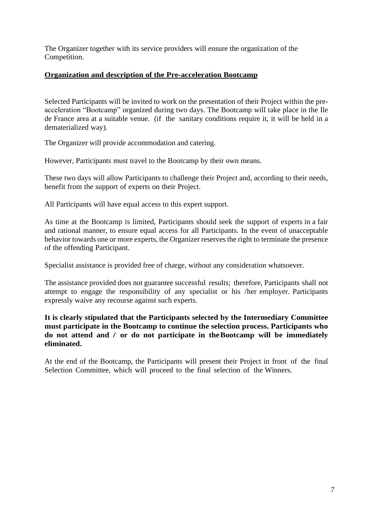The Organizer together with its service providers will ensure the organization of the Competition.

### **Organization and description of the Pre-acceleration Bootcamp**

Selected Participants will be invited to work on the presentation of their Project within the preacceleration "Bootcamp" organized during two days. The Bootcamp will take place in the Ile de France area at a suitable venue. (if the sanitary conditions require it, it will be held in a dematerialized way).

The Organizer will provide accommodation and catering.

However, Participants must travel to the Bootcamp by their own means.

These two days will allow Participants to challenge their Project and, according to their needs, benefit from the support of experts on their Project.

All Participants will have equal access to this expert support.

As time at the Bootcamp is limited, Participants should seek the support of experts in a fair and rational manner, to ensure equal access for all Participants. In the event of unacceptable behavior towards one or more experts, the Organizer reserves the right to terminate the presence of the offending Participant.

Specialist assistance is provided free of charge, without any consideration whatsoever.

The assistance provided does not guarantee successful results; therefore, Participants shall not attempt to engage the responsibility of any specialist or his /her employer. Participants expressly waive any recourse against such experts.

### **It is clearly stipulated that the Participants selected by the Intermediary Committee must participate in the Bootcamp to continue the selection process. Participants who do not attend and / or do not participate in theBootcamp will be immediately eliminated.**

At the end of the Bootcamp, the Participants will present their Project in front of the final Selection Committee, which will proceed to the final selection of the Winners.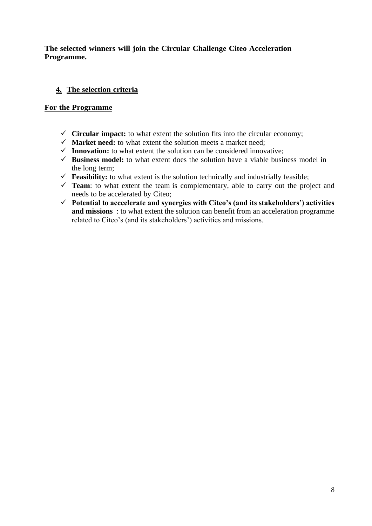### **The selected winners will join the Circular Challenge Citeo Acceleration Programme.**

# **4. The selection criteria**

### **For the Programme**

- $\checkmark$  Circular **impact:** to what extent the solution fits into the circular economy;
- $\checkmark$  **Market need:** to what extent the solution meets a market need;
- $\checkmark$  **Innovation:** to what extent the solution can be considered innovative;
- $\checkmark$  **Business model:** to what extent does the solution have a viable business model in the long term;
- $\checkmark$  **Feasibility:** to what extent is the solution technically and industrially feasible;
- ✓ **Team**: to what extent the team is complementary, able to carry out the project and needs to be accelerated by Citeo;
- ✓ **Potential to acccelerate and synergies with Citeo's (and its stakeholders') activities and missions** : to what extent the solution can benefit from an acceleration programme related to Citeo's (and its stakeholders') activities and missions.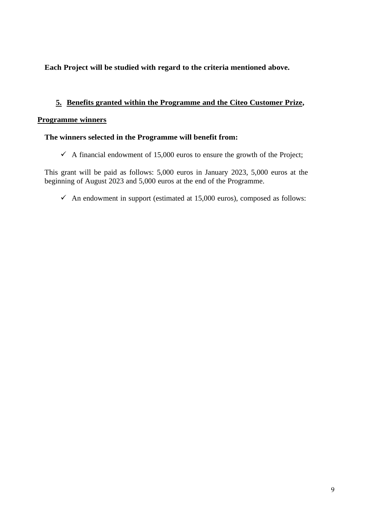## **Each Project will be studied with regard to the criteria mentioned above.**

### **5. Benefits granted within the Programme and the Citeo Customer Prize,**

#### **Programme winners**

#### **The winners selected in the Programme will benefit from:**

 $\checkmark$  A financial endowment of 15,000 euros to ensure the growth of the Project;

This grant will be paid as follows: 5,000 euros in January 2023, 5,000 euros at the beginning of August 2023 and 5,000 euros at the end of the Programme.

 $\checkmark$  An endowment in support (estimated at 15,000 euros), composed as follows: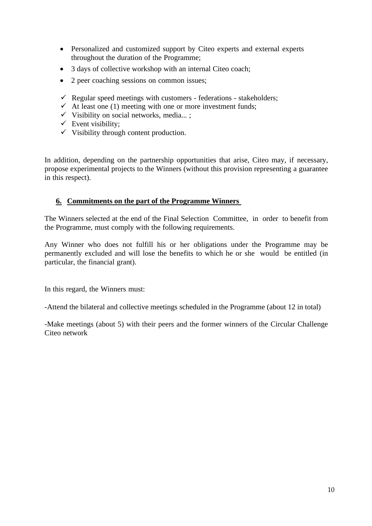- Personalized and customized support by Citeo experts and external experts throughout the duration of the Programme;
- 3 days of collective workshop with an internal Citeo coach;
- 2 peer coaching sessions on common issues;
- $\checkmark$  Regular speed meetings with customers federations stakeholders;
- $\checkmark$  At least one (1) meeting with one or more investment funds;
- $\checkmark$  Visibility on social networks, media...;
- $\checkmark$  Event visibility;
- $\checkmark$  Visibility through content production.

In addition, depending on the partnership opportunities that arise, Citeo may, if necessary, propose experimental projects to the Winners (without this provision representing a guarantee in this respect).

### **6. Commitments on the part of the Programme Winners**

The Winners selected at the end of the Final Selection Committee, in order to benefit from the Programme, must comply with the following requirements.

Any Winner who does not fulfill his or her obligations under the Programme may be permanently excluded and will lose the benefits to which he or she would be entitled (in particular, the financial grant).

In this regard, the Winners must:

-Attend the bilateral and collective meetings scheduled in the Programme (about 12 in total)

-Make meetings (about 5) with their peers and the former winners of the Circular Challenge Citeo network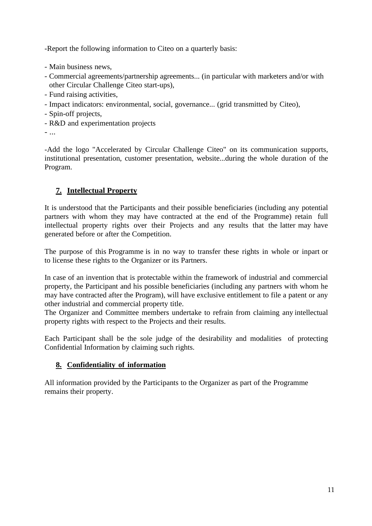-Report the following information to Citeo on a quarterly basis:

- Main business news,
- Commercial agreements/partnership agreements... (in particular with marketers and/or with other Circular Challenge Citeo start-ups),
- Fund raising activities,
- Impact indicators: environmental, social, governance... (grid transmitted by Citeo),
- Spin-off projects,
- R&D and experimentation projects
- ...

-Add the logo "Accelerated by Circular Challenge Citeo" on its communication supports, institutional presentation, customer presentation, website...during the whole duration of the Program.

# **7. Intellectual Property**

It is understood that the Participants and their possible beneficiaries (including any potential partners with whom they may have contracted at the end of the Programme) retain full intellectual property rights over their Projects and any results that the latter may have generated before or after the Competition.

The purpose of this Programme is in no way to transfer these rights in whole or inpart or to license these rights to the Organizer or its Partners.

In case of an invention that is protectable within the framework of industrial and commercial property, the Participant and his possible beneficiaries (including any partners with whom he may have contracted after the Program), will have exclusive entitlement to file a patent or any other industrial and commercial property title.

The Organizer and Committee members undertake to refrain from claiming any intellectual property rights with respect to the Projects and their results.

Each Participant shall be the sole judge of the desirability and modalities of protecting Confidential Information by claiming such rights.

## **8. Confidentiality of information**

All information provided by the Participants to the Organizer as part of the Programme remains their property.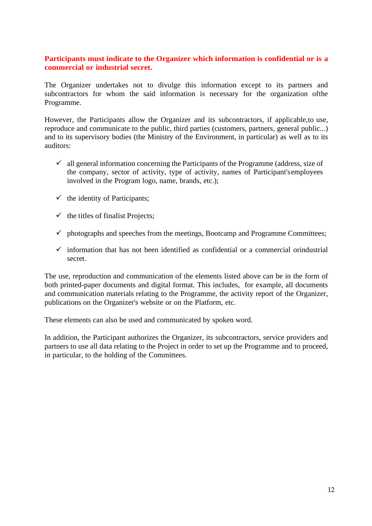### **Participants must indicate to the Organizer which information is confidential or is a commercial or industrial secret.**

The Organizer undertakes not to divulge this information except to its partners and subcontractors for whom the said information is necessary for the organization ofthe Programme.

However, the Participants allow the Organizer and its subcontractors, if applicable,to use, reproduce and communicate to the public, third parties (customers, partners, general public...) and to its supervisory bodies (the Ministry of the Environment, in particular) as well as to its auditors:

- $\checkmark$  all general information concerning the Participants of the Programme (address, size of the company, sector of activity, type of activity, names of Participant'semployees involved in the Program logo, name, brands, etc.);
- $\checkmark$  the identity of Participants;
- $\checkmark$  the titles of finalist Projects;
- $\checkmark$  photographs and speeches from the meetings, Bootcamp and Programme Committees;
- $\checkmark$  information that has not been identified as confidential or a commercial orindustrial secret.

The use, reproduction and communication of the elements listed above can be in the form of both printed-paper documents and digital format. This includes, for example, all documents and communication materials relating to the Programme, the activity report of the Organizer, publications on the Organizer's website or on the Platform, etc.

These elements can also be used and communicated by spoken word.

In addition, the Participant authorizes the Organizer, its subcontractors, service providers and partners to use all data relating to the Project in order to set up the Programme and to proceed, in particular, to the holding of the Committees.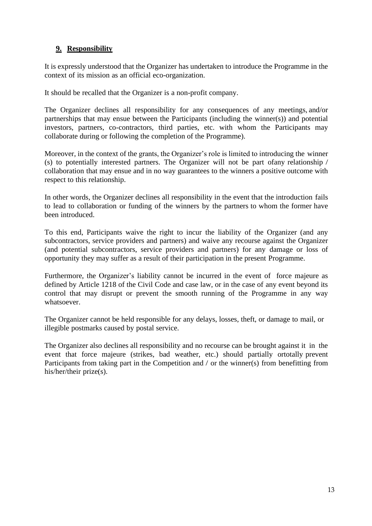# **9. Responsibility**

It is expressly understood that the Organizer has undertaken to introduce the Programme in the context of its mission as an official eco-organization.

It should be recalled that the Organizer is a non-profit company.

The Organizer declines all responsibility for any consequences of any meetings, and/or partnerships that may ensue between the Participants (including the winner(s)) and potential investors, partners, co-contractors, third parties, etc. with whom the Participants may collaborate during or following the completion of the Programme).

Moreover, in the context of the grants, the Organizer's role is limited to introducing the winner (s) to potentially interested partners. The Organizer will not be part ofany relationship / collaboration that may ensue and in no way guarantees to the winners a positive outcome with respect to this relationship.

In other words, the Organizer declines all responsibility in the event that the introduction fails to lead to collaboration or funding of the winners by the partners to whom the former have been introduced.

To this end, Participants waive the right to incur the liability of the Organizer (and any subcontractors, service providers and partners) and waive any recourse against the Organizer (and potential subcontractors, service providers and partners) for any damage or loss of opportunity they may suffer as a result of their participation in the present Programme.

Furthermore, the Organizer's liability cannot be incurred in the event of force majeure as defined by Article 1218 of the Civil Code and case law, or in the case of any event beyond its control that may disrupt or prevent the smooth running of the Programme in any way whatsoever.

The Organizer cannot be held responsible for any delays, losses, theft, or damage to mail, or illegible postmarks caused by postal service.

The Organizer also declines all responsibility and no recourse can be brought against it in the event that force majeure (strikes, bad weather, etc.) should partially ortotally prevent Participants from taking part in the Competition and / or the winner(s) from benefitting from his/her/their prize(s).